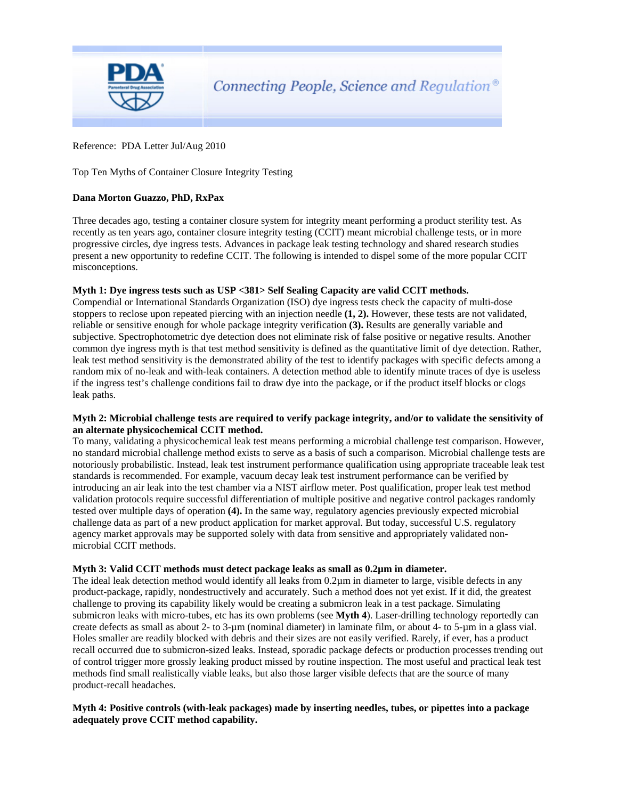

## Reference: PDA Letter Jul/Aug 2010

# Top Ten Myths of Container Closure Integrity Testing

## **Dana Morton Guazzo, PhD, RxPax**

Three decades ago, testing a container closure system for integrity meant performing a product sterility test. As recently as ten years ago, container closure integrity testing (CCIT) meant microbial challenge tests, or in more progressive circles, dye ingress tests. Advances in package leak testing technology and shared research studies present a new opportunity to redefine CCIT. The following is intended to dispel some of the more popular CCIT misconceptions.

#### **Myth 1: Dye ingress tests such as USP <381> Self Sealing Capacity are valid CCIT methods.**

Compendial or International Standards Organization (ISO) dye ingress tests check the capacity of multi-dose stoppers to reclose upon repeated piercing with an injection needle **(1, 2).** However, these tests are not validated, reliable or sensitive enough for whole package integrity verification **(3).** Results are generally variable and subjective. Spectrophotometric dye detection does not eliminate risk of false positive or negative results. Another common dye ingress myth is that test method sensitivity is defined as the quantitative limit of dye detection. Rather, leak test method sensitivity is the demonstrated ability of the test to identify packages with specific defects among a random mix of no-leak and with-leak containers. A detection method able to identify minute traces of dye is useless if the ingress test's challenge conditions fail to draw dye into the package, or if the product itself blocks or clogs leak paths.

#### **Myth 2: Microbial challenge tests are required to verify package integrity, and/or to validate the sensitivity of an alternate physicochemical CCIT method.**

To many, validating a physicochemical leak test means performing a microbial challenge test comparison. However, no standard microbial challenge method exists to serve as a basis of such a comparison. Microbial challenge tests are notoriously probabilistic. Instead, leak test instrument performance qualification using appropriate traceable leak test standards is recommended. For example, vacuum decay leak test instrument performance can be verified by introducing an air leak into the test chamber via a NIST airflow meter. Post qualification, proper leak test method validation protocols require successful differentiation of multiple positive and negative control packages randomly tested over multiple days of operation **(4).** In the same way, regulatory agencies previously expected microbial challenge data as part of a new product application for market approval. But today, successful U.S. regulatory agency market approvals may be supported solely with data from sensitive and appropriately validated nonmicrobial CCIT methods.

#### **Myth 3: Valid CCIT methods must detect package leaks as small as 0.2µm in diameter.**

The ideal leak detection method would identify all leaks from 0.2µm in diameter to large, visible defects in any product-package, rapidly, nondestructively and accurately. Such a method does not yet exist. If it did, the greatest challenge to proving its capability likely would be creating a submicron leak in a test package. Simulating submicron leaks with micro-tubes, etc has its own problems (see **Myth 4**). Laser-drilling technology reportedly can create defects as small as about 2- to 3-µm (nominal diameter) in laminate film, or about 4- to 5-µm in a glass vial. Holes smaller are readily blocked with debris and their sizes are not easily verified. Rarely, if ever, has a product recall occurred due to submicron-sized leaks. Instead, sporadic package defects or production processes trending out of control trigger more grossly leaking product missed by routine inspection. The most useful and practical leak test methods find small realistically viable leaks, but also those larger visible defects that are the source of many product-recall headaches.

# **Myth 4: Positive controls (with-leak packages) made by inserting needles, tubes, or pipettes into a package adequately prove CCIT method capability.**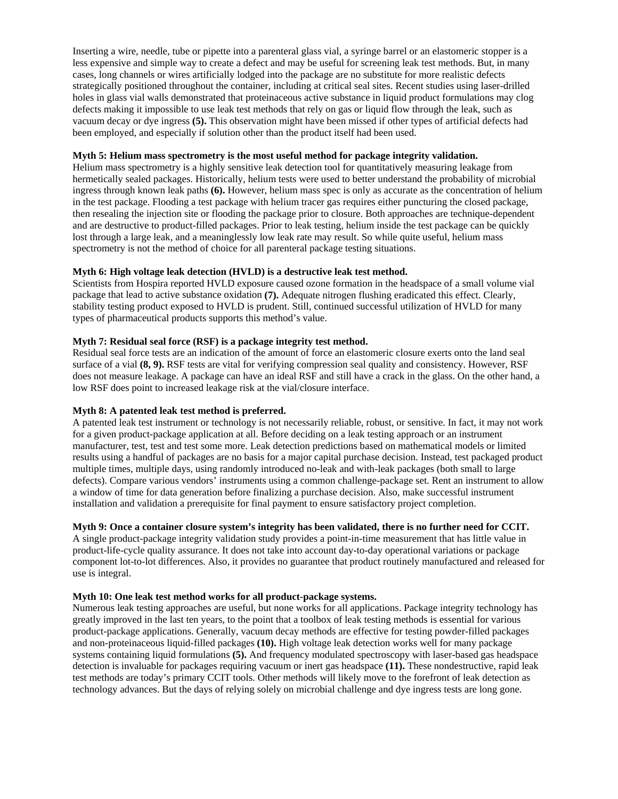Inserting a wire, needle, tube or pipette into a parenteral glass vial, a syringe barrel or an elastomeric stopper is a less expensive and simple way to create a defect and may be useful for screening leak test methods. But, in many cases, long channels or wires artificially lodged into the package are no substitute for more realistic defects strategically positioned throughout the container, including at critical seal sites. Recent studies using laser-drilled holes in glass vial walls demonstrated that proteinaceous active substance in liquid product formulations may clog defects making it impossible to use leak test methods that rely on gas or liquid flow through the leak, such as vacuum decay or dye ingress **(5).** This observation might have been missed if other types of artificial defects had been employed, and especially if solution other than the product itself had been used.

## **Myth 5: Helium mass spectrometry is the most useful method for package integrity validation.**

Helium mass spectrometry is a highly sensitive leak detection tool for quantitatively measuring leakage from hermetically sealed packages. Historically, helium tests were used to better understand the probability of microbial ingress through known leak paths **(6).** However, helium mass spec is only as accurate as the concentration of helium in the test package. Flooding a test package with helium tracer gas requires either puncturing the closed package, then resealing the injection site or flooding the package prior to closure. Both approaches are technique-dependent and are destructive to product-filled packages. Prior to leak testing, helium inside the test package can be quickly lost through a large leak, and a meaninglessly low leak rate may result. So while quite useful, helium mass spectrometry is not the method of choice for all parenteral package testing situations.

# **Myth 6: High voltage leak detection (HVLD) is a destructive leak test method.**

Scientists from Hospira reported HVLD exposure caused ozone formation in the headspace of a small volume vial package that lead to active substance oxidation **(7).** Adequate nitrogen flushing eradicated this effect. Clearly, stability testing product exposed to HVLD is prudent. Still, continued successful utilization of HVLD for many types of pharmaceutical products supports this method's value.

### **Myth 7: Residual seal force (RSF) is a package integrity test method.**

Residual seal force tests are an indication of the amount of force an elastomeric closure exerts onto the land seal surface of a vial **(8, 9).** RSF tests are vital for verifying compression seal quality and consistency. However, RSF does not measure leakage. A package can have an ideal RSF and still have a crack in the glass. On the other hand, a low RSF does point to increased leakage risk at the vial/closure interface.

# **Myth 8: A patented leak test method is preferred.**

A patented leak test instrument or technology is not necessarily reliable, robust, or sensitive. In fact, it may not work for a given product-package application at all. Before deciding on a leak testing approach or an instrument manufacturer, test, test and test some more. Leak detection predictions based on mathematical models or limited results using a handful of packages are no basis for a major capital purchase decision. Instead, test packaged product multiple times, multiple days, using randomly introduced no-leak and with-leak packages (both small to large defects). Compare various vendors' instruments using a common challenge-package set. Rent an instrument to allow a window of time for data generation before finalizing a purchase decision. Also, make successful instrument installation and validation a prerequisite for final payment to ensure satisfactory project completion.

### **Myth 9: Once a container closure system's integrity has been validated, there is no further need for CCIT.**

A single product-package integrity validation study provides a point-in-time measurement that has little value in product-life-cycle quality assurance. It does not take into account day-to-day operational variations or package component lot-to-lot differences. Also, it provides no guarantee that product routinely manufactured and released for use is integral.

#### **Myth 10: One leak test method works for all product-package systems.**

Numerous leak testing approaches are useful, but none works for all applications. Package integrity technology has greatly improved in the last ten years, to the point that a toolbox of leak testing methods is essential for various product-package applications. Generally, vacuum decay methods are effective for testing powder-filled packages and non-proteinaceous liquid-filled packages **(10).** High voltage leak detection works well for many package systems containing liquid formulations **(5).** And frequency modulated spectroscopy with laser-based gas headspace detection is invaluable for packages requiring vacuum or inert gas headspace **(11).** These nondestructive, rapid leak test methods are today's primary CCIT tools. Other methods will likely move to the forefront of leak detection as technology advances. But the days of relying solely on microbial challenge and dye ingress tests are long gone.